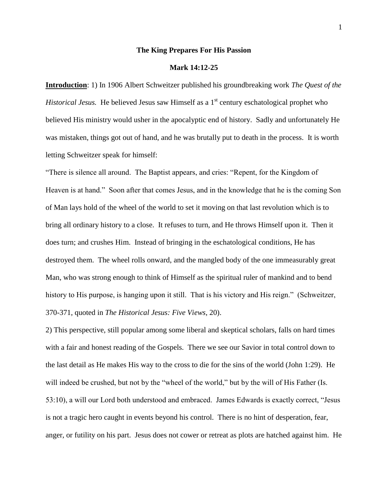#### **The King Prepares For His Passion**

# **Mark 14:12-25**

**Introduction**: 1) In 1906 Albert Schweitzer published his groundbreaking work *The Quest of the Historical Jesus.* He believed Jesus saw Himself as a 1<sup>st</sup> century eschatological prophet who believed His ministry would usher in the apocalyptic end of history. Sadly and unfortunately He was mistaken, things got out of hand, and he was brutally put to death in the process. It is worth letting Schweitzer speak for himself:

"There is silence all around. The Baptist appears, and cries: "Repent, for the Kingdom of Heaven is at hand." Soon after that comes Jesus, and in the knowledge that he is the coming Son of Man lays hold of the wheel of the world to set it moving on that last revolution which is to bring all ordinary history to a close. It refuses to turn, and He throws Himself upon it. Then it does turn; and crushes Him. Instead of bringing in the eschatological conditions, He has destroyed them. The wheel rolls onward, and the mangled body of the one immeasurably great Man, who was strong enough to think of Himself as the spiritual ruler of mankind and to bend history to His purpose, is hanging upon it still. That is his victory and His reign." (Schweitzer, 370-371, quoted in *The Historical Jesus: Five Views*, 20).

2) This perspective, still popular among some liberal and skeptical scholars, falls on hard times with a fair and honest reading of the Gospels. There we see our Savior in total control down to the last detail as He makes His way to the cross to die for the sins of the world (John 1:29). He will indeed be crushed, but not by the "wheel of the world," but by the will of His Father (Is. 53:10), a will our Lord both understood and embraced. James Edwards is exactly correct, "Jesus is not a tragic hero caught in events beyond his control. There is no hint of desperation, fear, anger, or futility on his part. Jesus does not cower or retreat as plots are hatched against him. He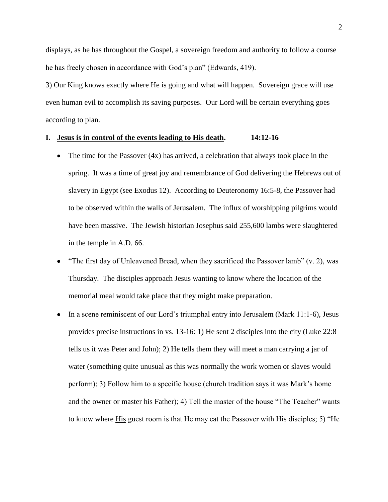displays, as he has throughout the Gospel, a sovereign freedom and authority to follow a course he has freely chosen in accordance with God's plan" (Edwards, 419).

3) Our King knows exactly where He is going and what will happen. Sovereign grace will use even human evil to accomplish its saving purposes. Our Lord will be certain everything goes according to plan.

# **I. Jesus is in control of the events leading to His death. 14:12-16**

- The time for the Passover (4x) has arrived, a celebration that always took place in the  $\bullet$ spring. It was a time of great joy and remembrance of God delivering the Hebrews out of slavery in Egypt (see Exodus 12). According to Deuteronomy 16:5-8, the Passover had to be observed within the walls of Jerusalem. The influx of worshipping pilgrims would have been massive. The Jewish historian Josephus said 255,600 lambs were slaughtered in the temple in A.D. 66.
- "The first day of Unleavened Bread, when they sacrificed the Passover lamb" (v. 2), was  $\bullet$ Thursday. The disciples approach Jesus wanting to know where the location of the memorial meal would take place that they might make preparation.
- In a scene reminiscent of our Lord's triumphal entry into Jerusalem (Mark 11:1-6), Jesus  $\bullet$ provides precise instructions in vs. 13-16: 1) He sent 2 disciples into the city (Luke 22:8 tells us it was Peter and John); 2) He tells them they will meet a man carrying a jar of water (something quite unusual as this was normally the work women or slaves would perform); 3) Follow him to a specific house (church tradition says it was Mark's home and the owner or master his Father); 4) Tell the master of the house "The Teacher" wants to know where His guest room is that He may eat the Passover with His disciples; 5) "He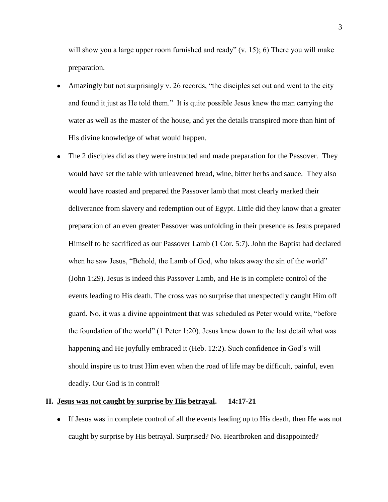will show you a large upper room furnished and ready"  $(v, 15)$ ; 6) There you will make preparation.

- Amazingly but not surprisingly v. 26 records, "the disciples set out and went to the city and found it just as He told them." It is quite possible Jesus knew the man carrying the water as well as the master of the house, and yet the details transpired more than hint of His divine knowledge of what would happen.
- The 2 disciples did as they were instructed and made preparation for the Passover. They  $\bullet$ would have set the table with unleavened bread, wine, bitter herbs and sauce. They also would have roasted and prepared the Passover lamb that most clearly marked their deliverance from slavery and redemption out of Egypt. Little did they know that a greater preparation of an even greater Passover was unfolding in their presence as Jesus prepared Himself to be sacrificed as our Passover Lamb (1 Cor. 5:7). John the Baptist had declared when he saw Jesus, "Behold, the Lamb of God, who takes away the sin of the world" (John 1:29). Jesus is indeed this Passover Lamb, and He is in complete control of the events leading to His death. The cross was no surprise that unexpectedly caught Him off guard. No, it was a divine appointment that was scheduled as Peter would write, "before the foundation of the world" (1 Peter 1:20). Jesus knew down to the last detail what was happening and He joyfully embraced it (Heb. 12:2). Such confidence in God's will should inspire us to trust Him even when the road of life may be difficult, painful, even deadly. Our God is in control!

# **II. Jesus was not caught by surprise by His betrayal. 14:17-21**

If Jesus was in complete control of all the events leading up to His death, then He was not caught by surprise by His betrayal. Surprised? No. Heartbroken and disappointed?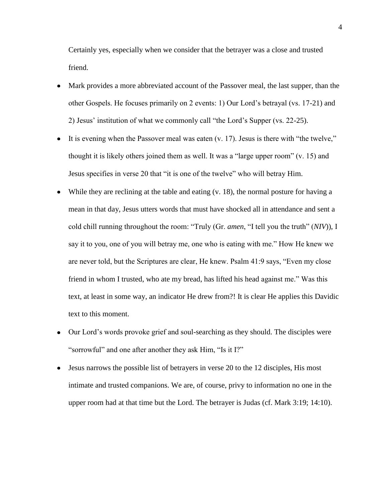Certainly yes, especially when we consider that the betrayer was a close and trusted friend.

- Mark provides a more abbreviated account of the Passover meal, the last supper, than the other Gospels. He focuses primarily on 2 events: 1) Our Lord's betrayal (vs. 17-21) and 2) Jesus' institution of what we commonly call "the Lord's Supper (vs. 22-25).
- It is evening when the Passover meal was eaten (v. 17). Jesus is there with "the twelve," thought it is likely others joined them as well. It was a "large upper room" (v. 15) and Jesus specifies in verse 20 that "it is one of the twelve" who will betray Him.
- While they are reclining at the table and eating (v. 18), the normal posture for having a mean in that day, Jesus utters words that must have shocked all in attendance and sent a cold chill running throughout the room: "Truly (Gr. *amen*, "I tell you the truth" (*NIV*)), I say it to you, one of you will betray me, one who is eating with me." How He knew we are never told, but the Scriptures are clear, He knew. Psalm 41:9 says, "Even my close friend in whom I trusted, who ate my bread, has lifted his head against me." Was this text, at least in some way, an indicator He drew from?! It is clear He applies this Davidic text to this moment.
- Our Lord's words provoke grief and soul-searching as they should. The disciples were  $\bullet$ "sorrowful" and one after another they ask Him, "Is it I?"
- Jesus narrows the possible list of betrayers in verse 20 to the 12 disciples, His most intimate and trusted companions. We are, of course, privy to information no one in the upper room had at that time but the Lord. The betrayer is Judas (cf. Mark 3:19; 14:10).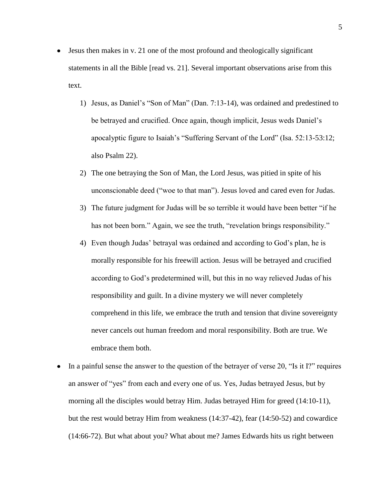- Jesus then makes in v. 21 one of the most profound and theologically significant  $\bullet$ statements in all the Bible [read vs. 21]. Several important observations arise from this text.
	- 1) Jesus, as Daniel's "Son of Man" (Dan. 7:13-14), was ordained and predestined to be betrayed and crucified. Once again, though implicit, Jesus weds Daniel's apocalyptic figure to Isaiah's "Suffering Servant of the Lord" (Isa. 52:13-53:12; also Psalm 22).
	- 2) The one betraying the Son of Man, the Lord Jesus, was pitied in spite of his unconscionable deed ("woe to that man"). Jesus loved and cared even for Judas.
	- 3) The future judgment for Judas will be so terrible it would have been better "if he has not been born." Again, we see the truth, "revelation brings responsibility."
	- 4) Even though Judas' betrayal was ordained and according to God's plan, he is morally responsible for his freewill action. Jesus will be betrayed and crucified according to God's predetermined will, but this in no way relieved Judas of his responsibility and guilt. In a divine mystery we will never completely comprehend in this life, we embrace the truth and tension that divine sovereignty never cancels out human freedom and moral responsibility. Both are true. We embrace them both.
- In a painful sense the answer to the question of the betrayer of verse 20, "Is it I?" requires an answer of "yes" from each and every one of us. Yes, Judas betrayed Jesus, but by morning all the disciples would betray Him. Judas betrayed Him for greed (14:10-11), but the rest would betray Him from weakness (14:37-42), fear (14:50-52) and cowardice (14:66-72). But what about you? What about me? James Edwards hits us right between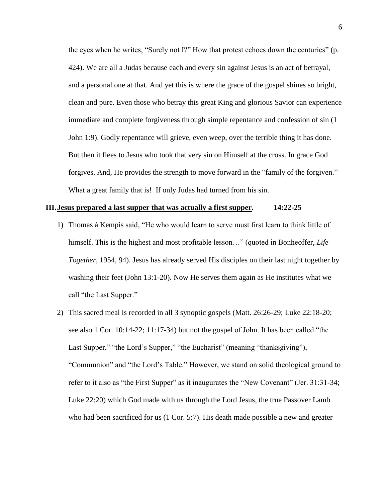the eyes when he writes, "Surely not I?" How that protest echoes down the centuries" (p. 424). We are all a Judas because each and every sin against Jesus is an act of betrayal, and a personal one at that. And yet this is where the grace of the gospel shines so bright, clean and pure. Even those who betray this great King and glorious Savior can experience immediate and complete forgiveness through simple repentance and confession of sin (1 John 1:9). Godly repentance will grieve, even weep, over the terrible thing it has done. But then it flees to Jesus who took that very sin on Himself at the cross. In grace God forgives. And, He provides the strength to move forward in the "family of the forgiven." What a great family that is! If only Judas had turned from his sin.

# **III.Jesus prepared a last supper that was actually a first supper. 14:22-25**

- 1) Thomas à Kempis said, "He who would learn to serve must first learn to think little of himself. This is the highest and most profitable lesson..." (quoted in Bonheoffer, *Life Together*, 1954, 94). Jesus has already served His disciples on their last night together by washing their feet (John 13:1-20). Now He serves them again as He institutes what we call "the Last Supper."
- 2) This sacred meal is recorded in all 3 synoptic gospels (Matt. 26:26-29; Luke 22:18-20; see also 1 Cor. 10:14-22; 11:17-34) but not the gospel of John. It has been called "the Last Supper," "the Lord's Supper," "the Eucharist" (meaning "thanksgiving"), "Communion" and "the Lord's Table." However, we stand on solid theological ground to refer to it also as "the First Supper" as it inaugurates the "New Covenant" (Jer. 31:31-34; Luke 22:20) which God made with us through the Lord Jesus, the true Passover Lamb who had been sacrificed for us (1 Cor. 5:7). His death made possible a new and greater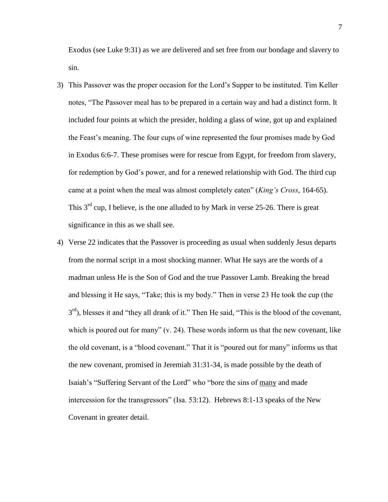Exodus (see Luke 9:31) as we are delivered and set free from our bondage and slavery to sin.

- 3) This Passover was the proper occasion for the Lord's Supper to be instituted. Tim Keller notes, "The Passover meal has to be prepared in a certain way and had a distinct form. It included four points at which the presider, holding a glass of wine, got up and explained the Feast's meaning. The four cups of wine represented the four promises made by God in Exodus 6:6-7. These promises were for rescue from Egypt, for freedom from slavery, for redemption by God's power, and for a renewed relationship with God. The third cup came at a point when the meal was almost completely eaten" (*King's Cross*, 164-65). This 3<sup>rd</sup> cup, I believe, is the one alluded to by Mark in verse 25-26. There is great significance in this as we shall see.
- 4) Verse 22 indicates that the Passover is proceeding as usual when suddenly Jesus departs from the normal script in a most shocking manner. What He says are the words of a madman unless He is the Son of God and the true Passover Lamb. Breaking the bread and blessing it He says, "Take; this is my body." Then in verse 23 He took the cup (the  $3<sup>rd</sup>$ ), blesses it and "they all drank of it." Then He said, "This is the blood of the covenant, which is poured out for many" (v. 24). These words inform us that the new covenant, like the old covenant, is a "blood covenant." That it is "poured out for many" informs us that the new covenant, promised in Jeremiah 31:31-34, is made possible by the death of Isaiah's "Suffering Servant of the Lord" who "bore the sins of many and made intercession for the transgressors" (Isa. 53:12). Hebrews 8:1-13 speaks of the New Covenant in greater detail.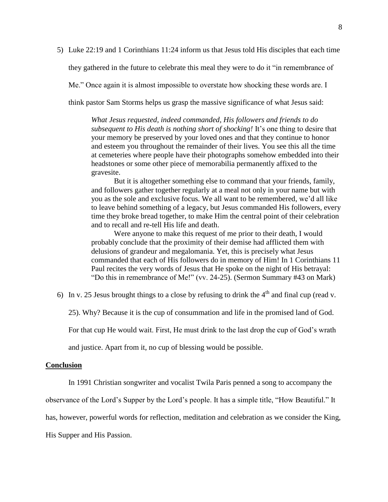5) Luke 22:19 and 1 Corinthians 11:24 inform us that Jesus told His disciples that each time they gathered in the future to celebrate this meal they were to do it "in remembrance of Me." Once again it is almost impossible to overstate how shocking these words are. I think pastor Sam Storms helps us grasp the massive significance of what Jesus said:

> *What Jesus requested, indeed commanded, His followers and friends to do subsequent to His death is nothing short of shocking!* It's one thing to desire that your memory be preserved by your loved ones and that they continue to honor and esteem you throughout the remainder of their lives. You see this all the time at cemeteries where people have their photographs somehow embedded into their headstones or some other piece of memorabilia permanently affixed to the gravesite.

> But it is altogether something else to command that your friends, family, and followers gather together regularly at a meal not only in your name but with you as the sole and exclusive focus. We all want to be remembered, we'd all like to leave behind something of a legacy, but Jesus commanded His followers, every time they broke bread together, to make Him the central point of their celebration and to recall and re-tell His life and death.

> Were anyone to make this request of me prior to their death, I would probably conclude that the proximity of their demise had afflicted them with delusions of grandeur and megalomania. Yet, this is precisely what Jesus commanded that each of His followers do in memory of Him! In 1 Corinthians 11 Paul recites the very words of Jesus that He spoke on the night of His betrayal: "Do this in remembrance of Me!" (vv. 24-25). (Sermon Summary #43 on Mark)

- 6) In v. 25 Jesus brought things to a close by refusing to drink the  $4<sup>th</sup>$  and final cup (read v.
	- 25). Why? Because it is the cup of consummation and life in the promised land of God.

For that cup He would wait. First, He must drink to the last drop the cup of God's wrath

and justice. Apart from it, no cup of blessing would be possible.

#### **Conclusion**

In 1991 Christian songwriter and vocalist Twila Paris penned a song to accompany the

observance of the Lord's Supper by the Lord's people. It has a simple title, "How Beautiful." It

has, however, powerful words for reflection, meditation and celebration as we consider the King,

His Supper and His Passion.